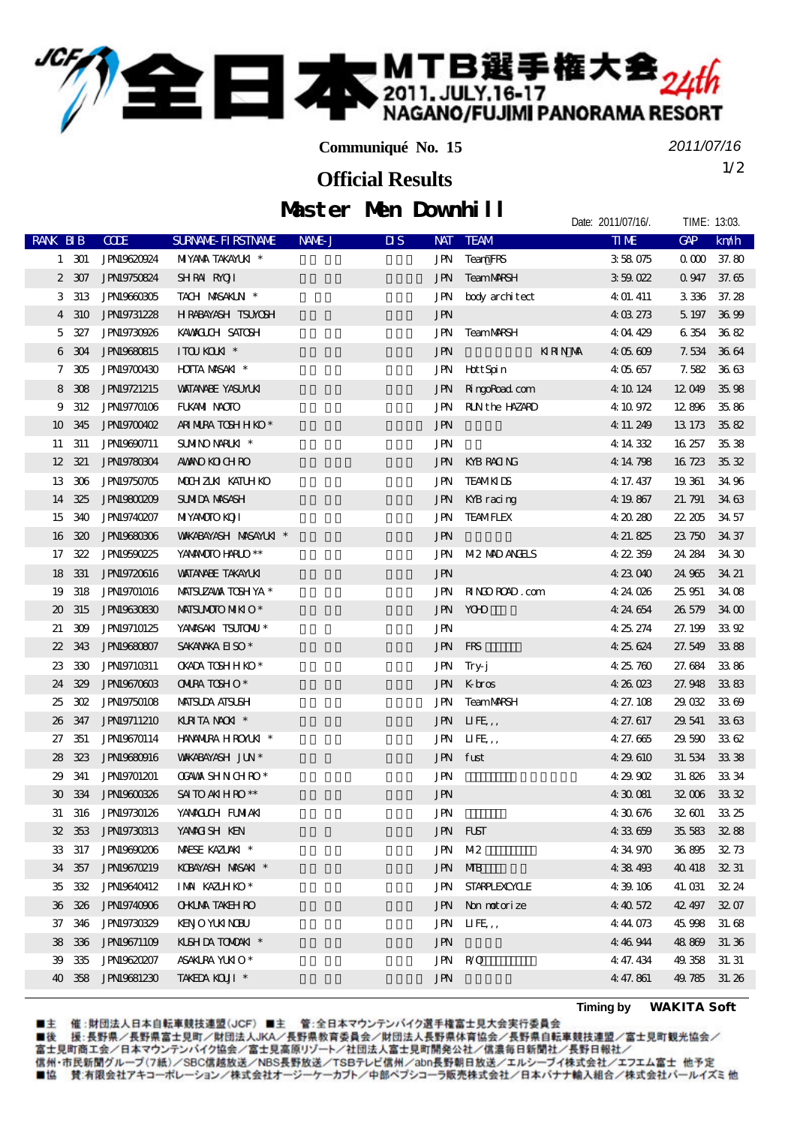## **二本 MTB選手権大会**24th

**Communiqué No. 15**

*2011/07/16*

Date: 2011/07/16/. TIME: 13:03.

1/2 **Official Results**

|  |  | Muster Men Downhill |
|--|--|---------------------|
|--|--|---------------------|

| RANK BIB                    |        | <b>CODE</b>        | <b>SURVANE FIRSTIVANE</b>    | NAME J | $\overline{\mathbf{u}}$ s<br><b>NAT</b> | <b>TEAM</b>        | <b>TIME</b> | <b>GAP</b>     | km/h         |
|-----------------------------|--------|--------------------|------------------------------|--------|-----------------------------------------|--------------------|-------------|----------------|--------------|
|                             | 1 301  | JPN19620924        | <b>NIYANA TAKAMJA</b> *      |        | JPN                                     | <b>TeamFRS</b>     | 358075      |                | $0000$ 37.80 |
|                             | 2 307  | <b>JPN19750824</b> | SHRAN RAOTI                  |        | JPN                                     | TeamMARSH          | 359022      | 0.947          | 37.65        |
|                             | 3 313  | JPN9660305         | TACH MASAKIN *               |        | JPN                                     | body architect     | 4 01. 411   | 3336           | 37.28        |
| $\overline{4}$              | 310    | <b>JPN19731228</b> | HRABAYASH TSUYOSH            |        | <b>JPN</b>                              |                    | 4 03 273    | 5 197          | 3699         |
| 5                           | 327    | <b>JPN19730926</b> | KAWALCH SATOSH               |        | JPN                                     | <b>TeamMRSH</b>    | 4 04 429    | 6354 3682      |              |
| 6                           | 304    | <b>JPNI9680815</b> | ITOU KOUN <sup>*</sup>       |        | <b>JPN</b>                              | <b>KRNM</b>        | 4 05 609    | 7.534 3664     |              |
| 7                           | 305    | JPN19700430        | <b>HOTTA MASAKI</b> *        |        | <b>JPN</b>                              | <b>H</b> ttSpin    | 405657      | 7.582          | 3663         |
| 8                           | 308    | <b>JPN19721215</b> | <b>WATANABE YASUMUKI</b>     |        | <b>JPN</b>                              | Ringo Road com     | 4 10 124    | 12049          | 35.98        |
| 9                           | 312    | <b>JPN19770106</b> | FUKAMI NACITO                |        | JPN                                     | RUNthe HAZARD      | 4 10 972    | 12896          | 35.86        |
| 10                          | 345    | JPN19700402        | ARI NIRA TOSHHKO*            |        | <b>JPN</b>                              |                    | 4 11 249    | 13 173         | 3582         |
| 11                          | 311    | <b>JPN19690711</b> | SUMINONARIKI *               |        | <b>JPN</b>                              |                    | 4 14 332    | 16 257         | 3538         |
| $12 \,$                     | 321    | <b>JPN19780304</b> | <b>AMANO KO CH RO</b>        |        | JPN                                     | KYB RACING         | 4 14 798    | 16723          | 3532         |
| 13                          | 306    | JPN19750705        | MOCHZIKI KATUHKO             |        | JPN                                     | <b>TEAMKIDS</b>    | 4 17 437    | 19 361         | 3496         |
| 14                          | 325    | JPN19800209        | <b>SUMIDA MASASH</b>         |        | JPN                                     | KYB racing         | 4 19 867    | 21.791         | 3463         |
| 15                          | 340    | <b>JPN19740207</b> | <b>MIYANOTO KOJI</b>         |        | JPN                                     | <b>TEAMFLEX</b>    | 4 20 280    | 22.205         | 34 57        |
| 16                          | 320    | <b>JPN19680306</b> | <b>WAKABAYASH MASAYLKI *</b> |        | <b>JPN</b>                              |                    | 4 21 825    | 23 750         | 34 37        |
| 17                          | 322    | JPN19590225        | YANANOIO HARLO **            |        | <b>JPN</b>                              | <b>M2 MD ANHS</b>  | 4 22 359    | 24 284         | 34 30        |
| 18                          | 331    | <b>JPN19720616</b> | <b>VAITANABE TAKAYUKI</b>    |        | <b>JPN</b>                              |                    | 4 23 040    | 24 965         | 34 21        |
| 19                          | 318    | <b>JPN19701016</b> | MAISUZAVA TOSH YA *          |        | JPN                                     | RINDROAD.com       | 4 24 026    | 25.951         | 34 08        |
| $\boldsymbol{\mathfrak{D}}$ | 315    | JPN19630830        | MAISUMOIO MIKIO*             |        | JPN                                     | <b>YOO</b>         | 4 24 654    | 26 579         | 34 CO        |
| 21                          | 309    | <b>JPN19710125</b> | YANASAKI TSUTONU*            |        | <b>JPN</b>                              |                    | 4 25 274    | 27.199         | 33 92        |
| 22                          | 343    | <b>JPN19680807</b> | SAKANAKA EISO*               |        | <b>JPN</b>                              | <b>FRS</b>         | 4 25 624    | 27.549         | 3388         |
| 23                          | 330    | <b>JPN19710311</b> | ОКАРА ТОБННКО*               |        | JPN                                     | Try-j              | 4 25 760    | 27.684         | 3386         |
| 24                          | 329    | <b>JPNI9670603</b> | <b>ONIRA TOSHO*</b>          |        | JPN                                     | $K$ bros           | 4 26 Q 23   | 27.948         | 3383         |
| 25                          | 302    | <b>JPN19750108</b> | <b>MATSUDA ATSUSH</b>        |        | JPN                                     | <b>TeamMRSH</b>    | 4 27.108    | 29.032         | 3369         |
| 26                          | 347    | <b>JPN19711210</b> | KIRTANOK <sup>*</sup>        |        | <b>JPN</b>                              | IIFE,              | 4 27.617    | 29 541         | 3363         |
| 27                          | 351    | <b>JPN19670114</b> | HANAMIRA HROMAT *            |        | <b>JPN</b>                              | IIFE,              | 4 27.665    | 29.590         | 3362         |
| 28                          | 323    | <b>JPN19680916</b> | <b>WAKABAYASH JUN*</b>       |        | <b>JPN</b>                              | fust               | 4 29 610    | 31.534         | 3338         |
| 29                          | 341    | <b>JPN19701201</b> | <b>OGAVAX SHN CHRO*</b>      |        | <b>JPN</b>                              |                    | 4 29 902    | 31.826         | 3334         |
| $\mathbf{E}$                | 334    | JPN19600326        | SAITO ANIHRO**               |        | <b>JPN</b>                              |                    | 4 30 081    | $32006$ $3332$ |              |
|                             |        | 31 316 JPN9730126  | YAMACLOH FUMIAKI             |        | <b>JPN</b>                              |                    | 430676      | 32.601 33.25   |              |
|                             |        | 32 353 JPN9730813  | YANACISH KEN                 |        |                                         | JPN FUST           | 433659      | 35 583 32 88   |              |
|                             | 33 317 | JPN19690206        | MAESE KAZLAKI *              |        | JPN                                     | M2                 | 4 34 970    | 36.895         | 32.73        |
| 34                          | 357    | <b>JPN19670219</b> | KOBAYASH MASAKI *            |        | JPN                                     | <b>MB</b>          | 4 38 493    | 40 418         | 3231         |
| 35                          | 332    | <b>JPN19640412</b> | IMM KAZUHKO*                 |        | JPN                                     | <b>STARPLEXXUE</b> | 4 39 106    | 41. O31        | 32.24        |
| 36                          | 326    | <b>JPN19740906</b> | <b>OHUMA TAKEH RO</b>        |        | JPN                                     | Non notorize       | 4 40 572    | 42 497         | 32.07        |
| 37                          | 346    | <b>JPN19730329</b> | <b>KENO YUKI NOBU</b>        |        | <b>JPN</b>                              | IIFE,              | 441073      | 45.998         | 31.68        |
| 38                          | 336    | <b>JPN19671109</b> | KLSHDATOMONAT *              |        | <b>JPN</b>                              |                    | 4 46 944    | 48869          | 31.36        |
| 39                          | 335    | JPN19620207        | ASAKURA YUKIO*               |        | JPN                                     | R/O                | 4 47.434    | 49.358         | 31.31        |
| 40                          | 358    | <b>JPN19681230</b> | TAKEDA KOUT *                |        | JPN                                     |                    | 4 47.861    | 49.785         | 31.26        |

■主 催 :財団法人日本自転車競技連盟(JCF)■主 管 :全日本マウンテンバイク選手権富士見大会実行委員会<br>■後 援:長野県/長野県富士見町/財団法人JKA/長野県教育委員会/財団法人長野県体育協会/長野県自転車競技連盟/富士見町観光協会/<br>富士見町商工会/日本マウンテンバイク協会/富士見高原リゾート/社団法人富士見町開発公社/信濃毎日新聞社/長野日報社/ 信州·市民新聞グループ(7紙)/SBC信越放送/NBS長野放送/TSBテレビ信州/abn長野朝日放送/エルシーブイ株式会社/エフエム富士 他予定 ■協 賛:有限会社アキコーポレーション/株式会社オージーケーカブト/中部ペプシコーラ販売株式会社/日本バナナ輸入組合/株式会社パールイズミ他